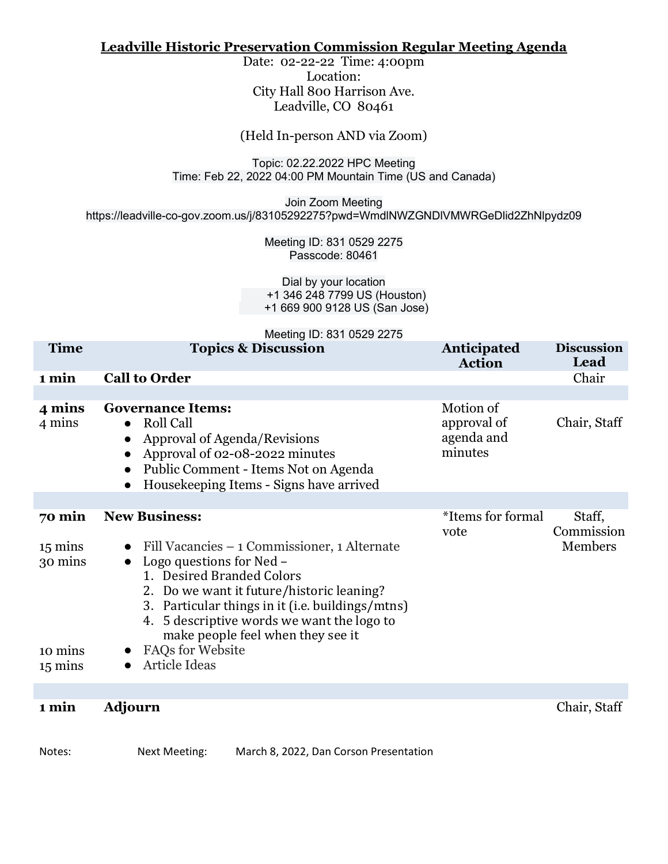#### **Leadville Historic Preservation Commission Regular Meeting Agenda**

Date: 02-22-22 Time: 4:00pm Location: City Hall 800 Harrison Ave. Leadville, CO 80461

(Held In-person AND via Zoom)

Topic: 02.22.2022 HPC Meeting Time: Feb 22, 2022 04:00 PM Mountain Time (US and Canada)

Join Zoom Meeting https://leadville-co-gov.zoom.us/j/83105292275?pwd=WmdlNWZGNDlVMWRGeDlid2ZhNlpydz09

> Meeting ID: 831 0529 2275 Passcode: 80461

Dial by your location +1 346 248 7799 US (Houston) +1 669 900 9128 US (San Jose)

Meeting ID: 831 0529 2275

| <b>Time</b>                                                            | <b>Topics &amp; Discussion</b>                                                                                                                                                                                                                                                                                                                                   | <b>Anticipated</b><br><b>Action</b>               | <b>Discussion</b><br>Lead       |
|------------------------------------------------------------------------|------------------------------------------------------------------------------------------------------------------------------------------------------------------------------------------------------------------------------------------------------------------------------------------------------------------------------------------------------------------|---------------------------------------------------|---------------------------------|
| 1 min                                                                  | <b>Call to Order</b>                                                                                                                                                                                                                                                                                                                                             |                                                   | Chair                           |
| 4 mins<br>4 mins                                                       | <b>Governance Items:</b><br><b>Roll Call</b><br>$\bullet$<br>Approval of Agenda/Revisions<br>Approval of 02-08-2022 minutes<br>Public Comment - Items Not on Agenda<br>Housekeeping Items - Signs have arrived                                                                                                                                                   | Motion of<br>approval of<br>agenda and<br>minutes | Chair, Staff                    |
|                                                                        |                                                                                                                                                                                                                                                                                                                                                                  |                                                   |                                 |
| 70 min<br>$15 \text{ mins}$<br>30 mins<br>10 mins<br>$15 \text{ mins}$ | <b>New Business:</b><br>• Fill Vacancies $-1$ Commissioner, 1 Alternate<br>Logo questions for Ned -<br>1. Desired Branded Colors<br>2. Do we want it future/historic leaning?<br>3. Particular things in it (i.e. buildings/mtns)<br>4. 5 descriptive words we want the logo to<br>make people feel when they see it<br><b>FAQs for Website</b><br>Article Ideas | *Items for formal<br>vote                         | Staff,<br>Commission<br>Members |
| 1 min                                                                  | Adjourn                                                                                                                                                                                                                                                                                                                                                          |                                                   | Chair, Staff                    |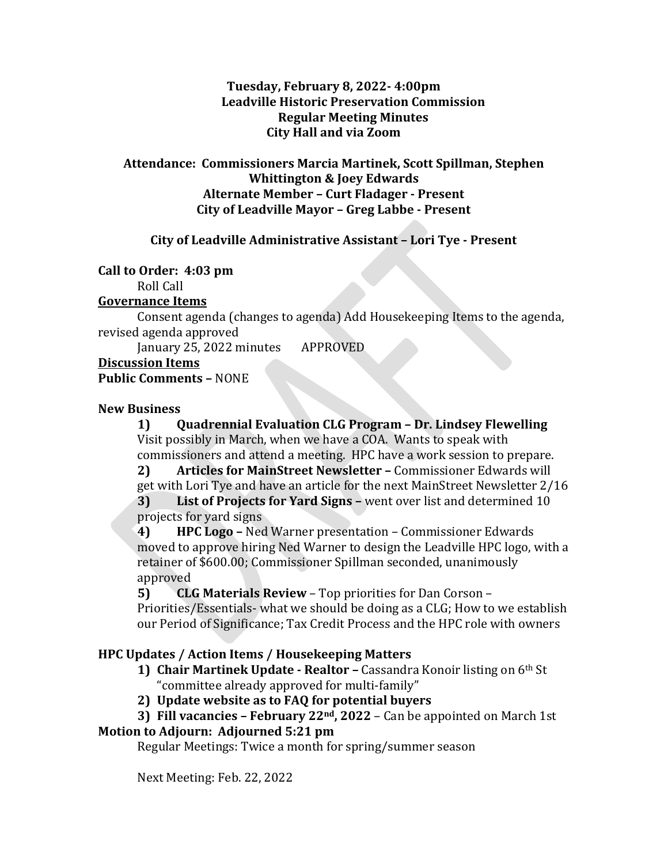#### **Tuesday, February 8, 2022- 4:00pm Leadville Historic Preservation Commission Regular Meeting Minutes City Hall and via Zoom**

#### **Attendance: Commissioners Marcia Martinek, Scott Spillman, Stephen Whittington & Joey Edwards Alternate Member – Curt Fladager - Present City of Leadville Mayor – Greg Labbe - Present**

#### **City of Leadville Administrative Assistant – Lori Tye - Present**

#### **Call to Order: 4:03 pm**

Roll Call

### **Governance Items**

Consent agenda (changes to agenda) Add Housekeeping Items to the agenda, revised agenda approved

January 25, 2022 minutes APPROVED

**Discussion Items**

### **Public Comments –** NONE

#### **New Business**

**1) Quadrennial Evaluation CLG Program – Dr. Lindsey Flewelling**  Visit possibly in March, when we have a COA. Wants to speak with commissioners and attend a meeting. HPC have a work session to prepare.<br>2) Articles for MainStreet Newsletter - Commissioner Edwards will

**2) Articles for MainStreet Newsletter –** Commissioner Edwards will get with Lori Tye and have an article for the next MainStreet Newsletter 2/16 **3) List of Projects for Yard Signs –** went over list and determined 10

projects for yard signs<br>4) HPC Logo - Ned **4) HPC Logo –** Ned Warner presentation – Commissioner Edwards moved to approve hiring Ned Warner to design the Leadville HPC logo, with a retainer of \$600.00; Commissioner Spillman seconded, unanimously approved<br>**5) CL** 

**5) CLG Materials Review** – Top priorities for Dan Corson –

Priorities/Essentials- what we should be doing as a CLG; How to we establish our Period of Significance; Tax Credit Process and the HPC role with owners

### **HPC Updates / Action Items / Housekeeping Matters**

**1) Chair Martinek Update - Realtor –** Cassandra Konoir listing on 6th St "committee already approved for multi-family"

**2) Update website as to FAQ for potential buyers**

**3) Fill vacancies – February 22nd, 2022** – Can be appointed on March 1st

### **Motion to Adjourn: Adjourned 5:21 pm**

Regular Meetings: Twice a month for spring/summer season

Next Meeting: Feb. 22, 2022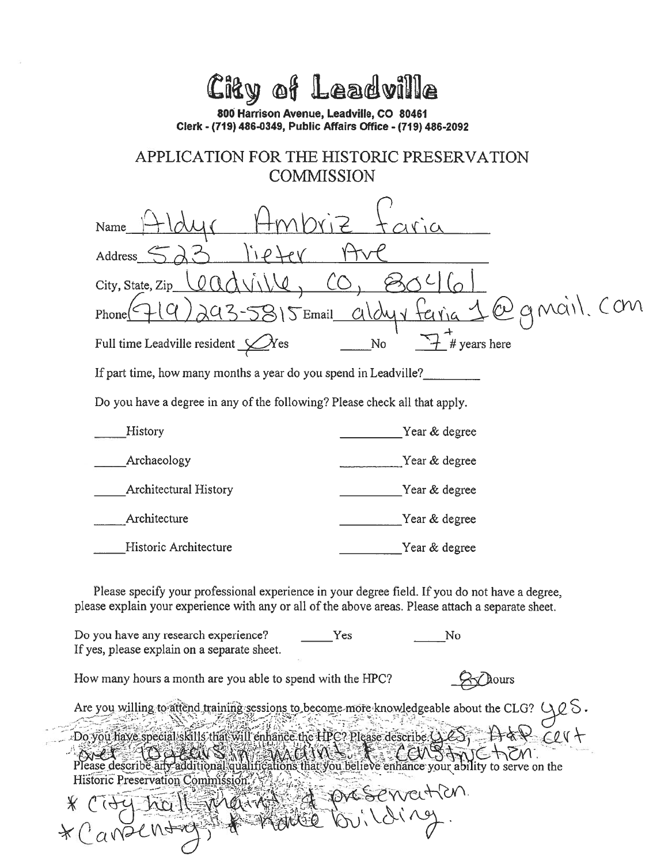# City of Leadville

800 Harrison Avenue, Leadville, CO 80461 Clerk - (719) 486-0349, Public Affairs Office - (719) 486-2092

## APPLICATION FOR THE HISTORIC PRESERVATION **COMMISSION**

| Name                                                                                                                                                                                                 |                    |  |  |  |  |  |
|------------------------------------------------------------------------------------------------------------------------------------------------------------------------------------------------------|--------------------|--|--|--|--|--|
| Address                                                                                                                                                                                              |                    |  |  |  |  |  |
| City, State, Zip                                                                                                                                                                                     |                    |  |  |  |  |  |
| Email<br>Phone                                                                                                                                                                                       | mail.              |  |  |  |  |  |
| Full time Leadville resident $\bigcup$                                                                                                                                                               | # years here<br>No |  |  |  |  |  |
| If part time, how many months a year do you spend in Leadville?                                                                                                                                      |                    |  |  |  |  |  |
| Do you have a degree in any of the following? Please check all that apply.                                                                                                                           |                    |  |  |  |  |  |
| History                                                                                                                                                                                              | Year & degree      |  |  |  |  |  |
| Archaeology                                                                                                                                                                                          | Year & degree      |  |  |  |  |  |
| <b>Architectural History</b>                                                                                                                                                                         | Year & degree      |  |  |  |  |  |
| Architecture                                                                                                                                                                                         | Year & degree      |  |  |  |  |  |
| Historic Architecture                                                                                                                                                                                | Year & degree      |  |  |  |  |  |
| Please specify your professional experience in your degree field. If you do not have a degree,<br>please explain your experience with any or all of the above areas. Please attach a separate sheet. |                    |  |  |  |  |  |
| Do you have any research experience?<br>If yes, please explain on a separate sheet.                                                                                                                  | Yes<br>No          |  |  |  |  |  |

How many hours a month are you able to spend with the HPC?

\* Canzenton

 $\prec$  dours

Are you willing to attend training sessions to become more knowledgeable about the CLG? Do you have special skills that will enhance the HPC? Please describe QLS  $FQV$  $\alpha$  is the contribution of the contribution of the contribution of the contribution of the contribution of the contribution of the contribution of the contribution of the contribution of the contribution of the contribut Historic Preservation Commission préservention.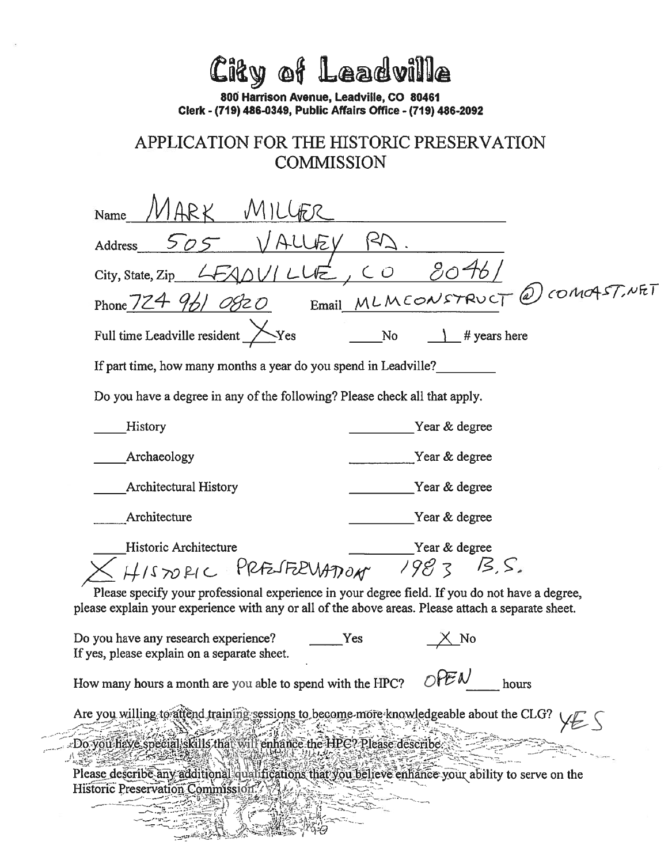City of Leadville

800 Harrison Avenue, Leadville, CO 80461 Clerk - (719) 486-0349, Public Affairs Office - (719) 486-2092

## APPLICATION FOR THE HISTORIC PRESERVATION **COMMISSION**

| Name                                                                                                                                                                                                                          |  |  |  |  |  |  |  |
|-------------------------------------------------------------------------------------------------------------------------------------------------------------------------------------------------------------------------------|--|--|--|--|--|--|--|
| Address                                                                                                                                                                                                                       |  |  |  |  |  |  |  |
| 20 <sup>2</sup><br>City, State, Zip                                                                                                                                                                                           |  |  |  |  |  |  |  |
| (2) COMOAST, NET<br>Email MLMCONSTRUCT<br>Phone 724 961 08                                                                                                                                                                    |  |  |  |  |  |  |  |
| Full time Leadville resident<br>Yes<br><b>No</b><br># years here                                                                                                                                                              |  |  |  |  |  |  |  |
| If part time, how many months a year do you spend in Leadville?                                                                                                                                                               |  |  |  |  |  |  |  |
| Do you have a degree in any of the following? Please check all that apply.                                                                                                                                                    |  |  |  |  |  |  |  |
| History<br>Year & degree                                                                                                                                                                                                      |  |  |  |  |  |  |  |
| Archaeology<br>Year & degree                                                                                                                                                                                                  |  |  |  |  |  |  |  |
| <b>Architectural History</b><br>Year & degree                                                                                                                                                                                 |  |  |  |  |  |  |  |
| Architecture<br>Year & degree                                                                                                                                                                                                 |  |  |  |  |  |  |  |
| Historic Architecture<br>Year & degree<br>1983<br>13.5.                                                                                                                                                                       |  |  |  |  |  |  |  |
| HISTORIC PRESERVATION<br>Please specify your professional experience in your degree field. If you do not have a degree,<br>please explain your experience with any or all of the above areas. Please attach a separate sheet. |  |  |  |  |  |  |  |
| Do you have any research experience?<br>Yes<br>If yes, please explain on a separate sheet.                                                                                                                                    |  |  |  |  |  |  |  |
| How many hours a month are you able to spend with the HPC? $OFEN$<br>hours                                                                                                                                                    |  |  |  |  |  |  |  |
| Are you willing to attend training sessions to become more knowledgeable about the CLG?                                                                                                                                       |  |  |  |  |  |  |  |
| Do you have special skills that will enhance the HPC? Please describe<br>Please describe any additional qualifications that you believe enhance your ability to serve on the<br>Historic Preservation Commission.             |  |  |  |  |  |  |  |
|                                                                                                                                                                                                                               |  |  |  |  |  |  |  |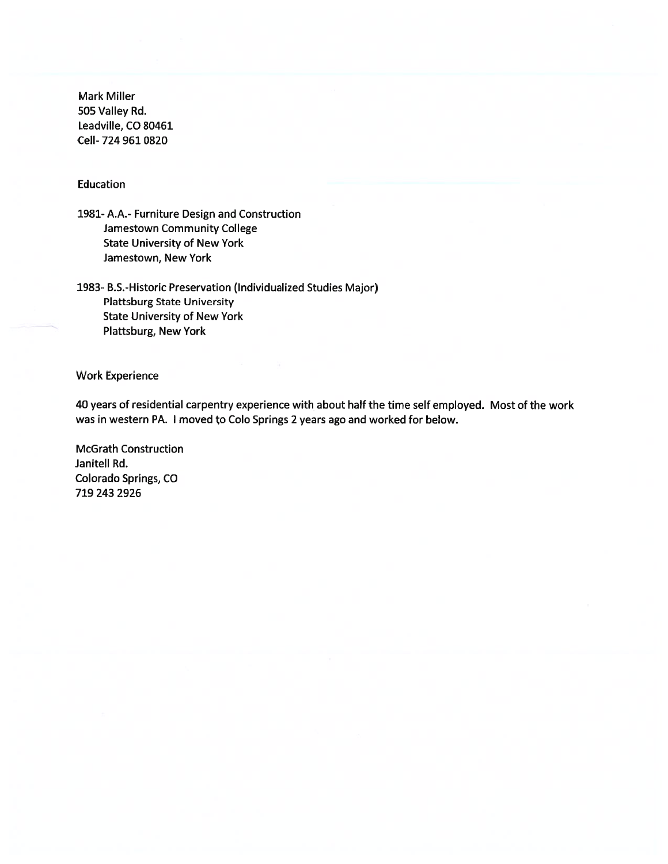**Mark Miller** 505 Valley Rd. Leadville, CO 80461 Cell-724 961 0820

#### Education

1981- A.A.- Furniture Design and Construction Jamestown Community College **State University of New York** Jamestown, New York

1983- B.S.-Historic Preservation (Individualized Studies Major) **Plattsburg State University State University of New York** Plattsburg, New York

**Work Experience** 

40 years of residential carpentry experience with about half the time self employed. Most of the work was in western PA. I moved to Colo Springs 2 years ago and worked for below.

**McGrath Construction** Janitell Rd. Colorado Springs, CO 719 243 2926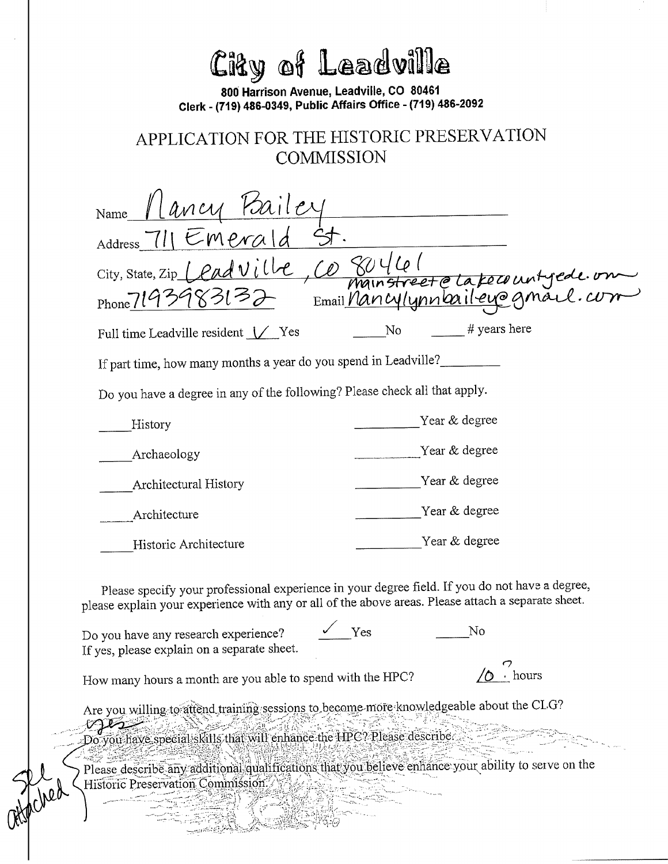| City of Leadville<br>800 Harrison Avenue, Leadville, CO 80461<br>Clerk - (719) 486-0349, Public Affairs Office - (719) 486-2092<br>APPLICATION FOR THE HISTORIC PRESERVATION<br><b>COMMISSION</b>                                                                                                                                 |  |  |  |  |  |  |
|-----------------------------------------------------------------------------------------------------------------------------------------------------------------------------------------------------------------------------------------------------------------------------------------------------------------------------------|--|--|--|--|--|--|
| <u>Ilancy Paile</u><br>Name<br>Address 711 Emerald<br>City, State, Zip $\bigcup$ $\rho$ $\alpha$<br>mainstreet e la fecount yede on<br>$_{\text{Phone}}$ 719                                                                                                                                                                      |  |  |  |  |  |  |
| # years here<br>No<br>Full time Leadville resident Ves                                                                                                                                                                                                                                                                            |  |  |  |  |  |  |
| If part time, how many months a year do you spend in Leadville?                                                                                                                                                                                                                                                                   |  |  |  |  |  |  |
| Do you have a degree in any of the following? Please check all that apply.                                                                                                                                                                                                                                                        |  |  |  |  |  |  |
| Year & degree<br>History                                                                                                                                                                                                                                                                                                          |  |  |  |  |  |  |
| Year & degree<br>Archaeology                                                                                                                                                                                                                                                                                                      |  |  |  |  |  |  |
| Year & degree<br><b>Architectural History</b>                                                                                                                                                                                                                                                                                     |  |  |  |  |  |  |
| Year & degree<br>Architecture                                                                                                                                                                                                                                                                                                     |  |  |  |  |  |  |
| Year & degree<br>Historic Architecture                                                                                                                                                                                                                                                                                            |  |  |  |  |  |  |
| Please specify your professional experience in your degree field. If you do not have a degree,<br>please explain your experience with any or all of the above areas. Please attach a separate sheet.                                                                                                                              |  |  |  |  |  |  |
| Yes<br>No<br>Do you have any research experience?<br>If yes, please explain on a separate sheet.                                                                                                                                                                                                                                  |  |  |  |  |  |  |
| • hours<br>How many hours a month are you able to spend with the HPC?                                                                                                                                                                                                                                                             |  |  |  |  |  |  |
| Are you willing to attend training sessions to become more knowledgeable about the CLG?<br>سيستعلمان<br>Do you have special skills that will enhance the HPC? Please describe<br>Please describe any additional qualifications that you believe enhance your ability to serve on the<br>Historic Preservation Commission.<br>ched |  |  |  |  |  |  |
|                                                                                                                                                                                                                                                                                                                                   |  |  |  |  |  |  |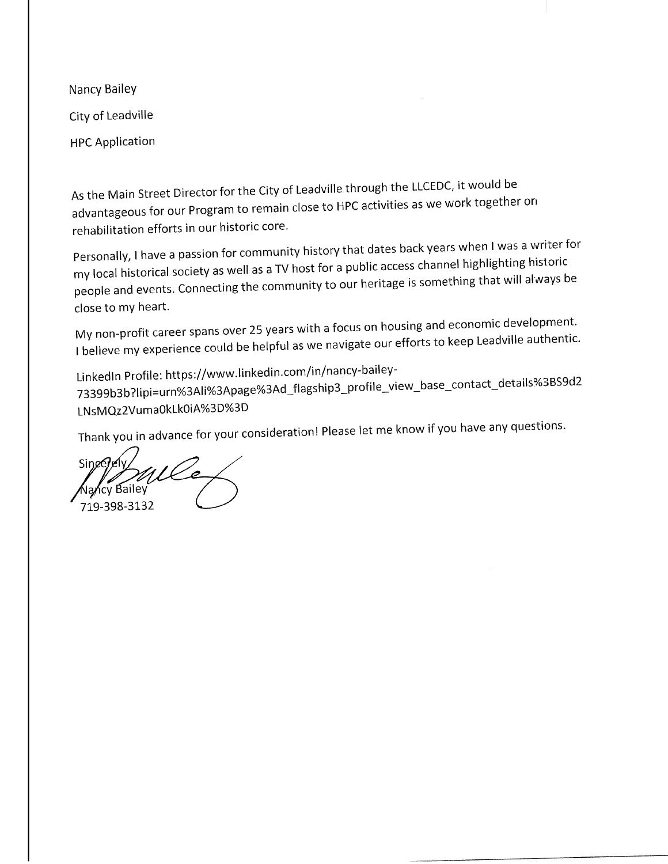Nancy Bailey City of Leadville **HPC Application** 

As the Main Street Director for the City of Leadville through the LLCEDC, it would be advantageous for our Program to remain close to HPC activities as we work together on rehabilitation efforts in our historic core.

Personally, I have a passion for community history that dates back years when I was a writer for my local historical society as well as a TV host for a public access channel highlighting historic people and events. Connecting the community to our heritage is something that will always be close to my heart.

My non-profit career spans over 25 years with a focus on housing and economic development. I believe my experience could be helpful as we navigate our efforts to keep Leadville authentic.

LinkedIn Profile: https://www.linkedin.com/in/nancy-bailey-73399b3b?lipi=urn%3Ali%3Apage%3Ad\_flagship3\_profile\_view\_base\_contact\_details%3BS9d2 LNsMQz2Vuma0kLk0iA%3D%3D

Thank you in advance for your consideration! Please let me know if you have any questions.

 $Sine$ Jancy Bailey

719-398-3132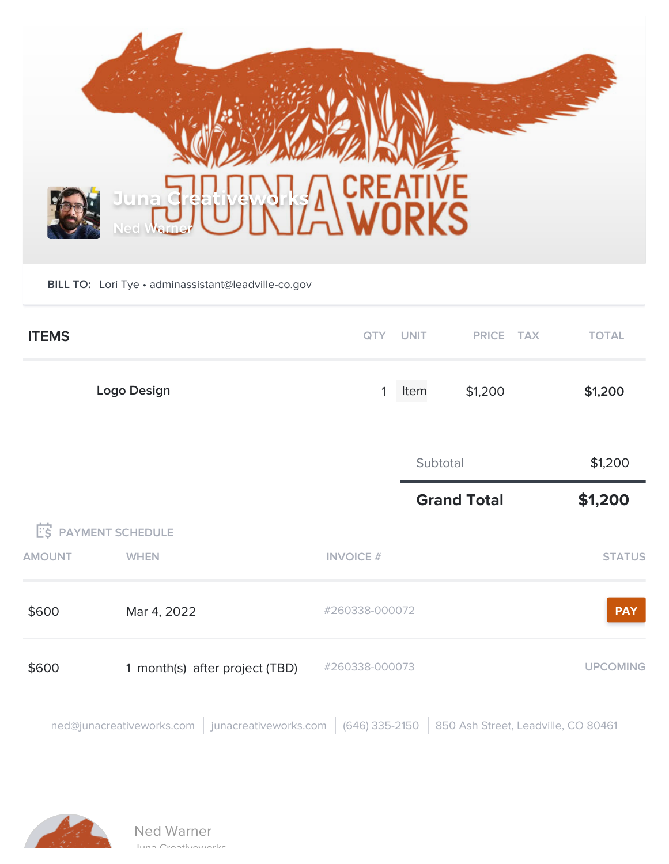

**BILL TO:** Lori Tye • adminassistant@leadville-co.gov

| <b>ITEMS</b>  |                                                                                                          |                  | QTY UNIT | PRICE TAX          |  | <b>TOTAL</b>    |
|---------------|----------------------------------------------------------------------------------------------------------|------------------|----------|--------------------|--|-----------------|
| Logo Design   |                                                                                                          | 1                | Item     | \$1,200            |  | \$1,200         |
|               |                                                                                                          |                  | Subtotal |                    |  | \$1,200         |
|               |                                                                                                          |                  |          | <b>Grand Total</b> |  | \$1,200         |
|               | <b>E'S PAYMENT SCHEDULE</b>                                                                              |                  |          |                    |  |                 |
| <b>AMOUNT</b> | <b>WHEN</b>                                                                                              | <b>INVOICE #</b> |          |                    |  | <b>STATUS</b>   |
| \$600         | Mar 4, 2022                                                                                              | #260338-000072   |          |                    |  | <b>PAY</b>      |
| \$600         | 1 month(s) after project (TBD)                                                                           | #260338-000073   |          |                    |  | <b>UPCOMING</b> |
|               | ned@junacreativeworks.com   junacreativeworks.com   (646) 335-2150   850 Ash Street, Leadville, CO 80461 |                  |          |                    |  |                 |

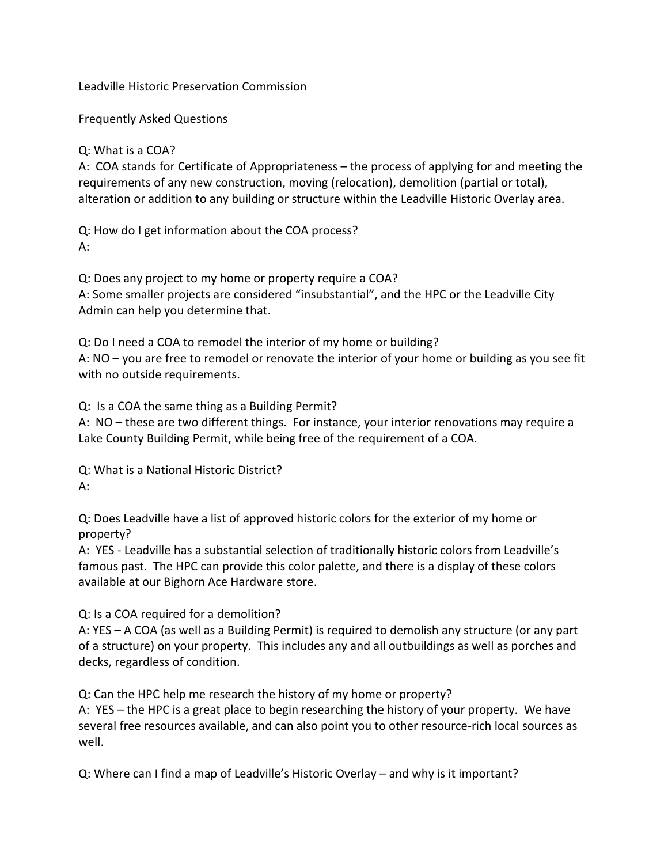Leadville Historic Preservation Commission

Frequently Asked Questions

#### Q: What is a COA?

A: COA stands for Certificate of Appropriateness – the process of applying for and meeting the requirements of any new construction, moving (relocation), demolition (partial or total), alteration or addition to any building or structure within the Leadville Historic Overlay area.

Q: How do I get information about the COA process? A:

Q: Does any project to my home or property require a COA? A: Some smaller projects are considered "insubstantial", and the HPC or the Leadville City Admin can help you determine that.

Q: Do I need a COA to remodel the interior of my home or building? A: NO – you are free to remodel or renovate the interior of your home or building as you see fit with no outside requirements.

Q: Is a COA the same thing as a Building Permit?

A: NO – these are two different things. For instance, your interior renovations may require a Lake County Building Permit, while being free of the requirement of a COA.

Q: What is a National Historic District? A:

Q: Does Leadville have a list of approved historic colors for the exterior of my home or property?

A: YES - Leadville has a substantial selection of traditionally historic colors from Leadville's famous past. The HPC can provide this color palette, and there is a display of these colors available at our Bighorn Ace Hardware store.

Q: Is a COA required for a demolition?

A: YES – A COA (as well as a Building Permit) is required to demolish any structure (or any part of a structure) on your property. This includes any and all outbuildings as well as porches and decks, regardless of condition.

Q: Can the HPC help me research the history of my home or property?

A: YES – the HPC is a great place to begin researching the history of your property. We have several free resources available, and can also point you to other resource-rich local sources as well.

Q: Where can I find a map of Leadville's Historic Overlay – and why is it important?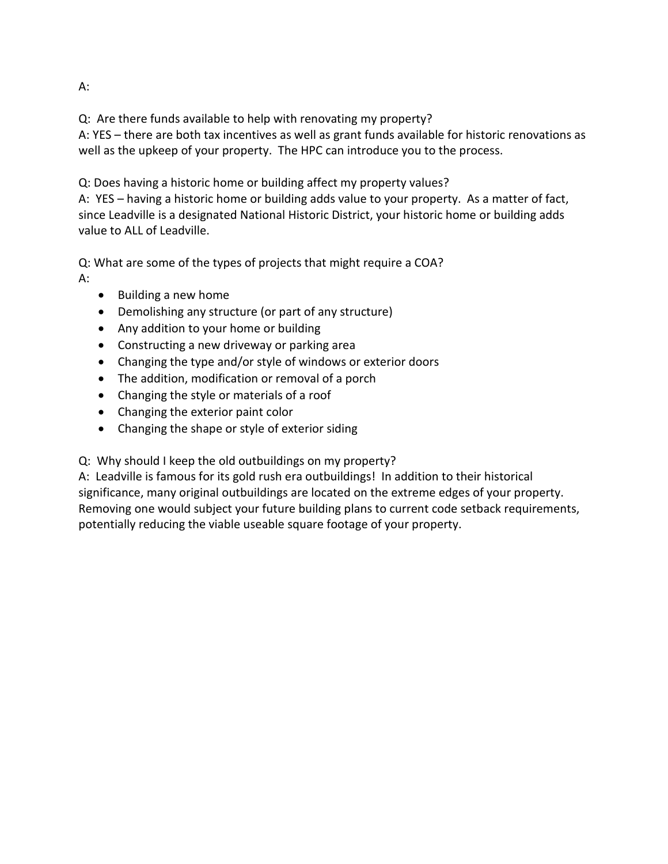Q: Are there funds available to help with renovating my property?

A: YES – there are both tax incentives as well as grant funds available for historic renovations as well as the upkeep of your property. The HPC can introduce you to the process.

Q: Does having a historic home or building affect my property values?

A: YES – having a historic home or building adds value to your property. As a matter of fact, since Leadville is a designated National Historic District, your historic home or building adds value to ALL of Leadville.

Q: What are some of the types of projects that might require a COA? A:

- Building a new home
- Demolishing any structure (or part of any structure)
- Any addition to your home or building
- Constructing a new driveway or parking area
- Changing the type and/or style of windows or exterior doors
- The addition, modification or removal of a porch
- Changing the style or materials of a roof
- Changing the exterior paint color
- Changing the shape or style of exterior siding

Q: Why should I keep the old outbuildings on my property?

A: Leadville is famous for its gold rush era outbuildings! In addition to their historical significance, many original outbuildings are located on the extreme edges of your property. Removing one would subject your future building plans to current code setback requirements, potentially reducing the viable useable square footage of your property.

A: